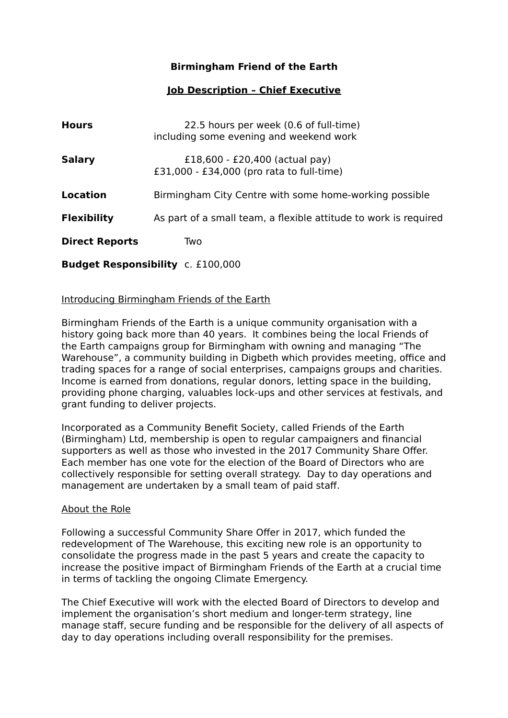# **Birmingham Friend of the Earth**

## **Job Description – Chief Executive**

| <b>Hours</b>                             | 22.5 hours per week (0.6 of full-time)<br>including some evening and weekend work |  |
|------------------------------------------|-----------------------------------------------------------------------------------|--|
| <b>Salary</b>                            | £18,600 - £20,400 (actual pay)<br>£31,000 - £34,000 (pro rata to full-time)       |  |
| <b>Location</b>                          | Birmingham City Centre with some home-working possible                            |  |
| <b>Flexibility</b>                       | As part of a small team, a flexible attitude to work is required                  |  |
| <b>Direct Reports</b>                    | Two                                                                               |  |
| <b>Budget Responsibility C. £100,000</b> |                                                                                   |  |

#### Introducing Birmingham Friends of the Earth

Birmingham Friends of the Earth is a unique community organisation with a history going back more than 40 years. It combines being the local Friends of the Earth campaigns group for Birmingham with owning and managing "The Warehouse", a community building in Digbeth which provides meeting, office and trading spaces for a range of social enterprises, campaigns groups and charities. Income is earned from donations, regular donors, letting space in the building, providing phone charging, valuables lock-ups and other services at festivals, and grant funding to deliver projects.

Incorporated as a Community Benefit Society, called Friends of the Earth (Birmingham) Ltd, membership is open to regular campaigners and financial supporters as well as those who invested in the 2017 Community Share Offer. Each member has one vote for the election of the Board of Directors who are collectively responsible for setting overall strategy. Day to day operations and management are undertaken by a small team of paid staff.

### About the Role

Following a successful Community Share Offer in 2017, which funded the redevelopment of The Warehouse, this exciting new role is an opportunity to consolidate the progress made in the past 5 years and create the capacity to increase the positive impact of Birmingham Friends of the Earth at a crucial time in terms of tackling the ongoing Climate Emergency.

The Chief Executive will work with the elected Board of Directors to develop and implement the organisation's short medium and longer-term strategy, line manage staff, secure funding and be responsible for the delivery of all aspects of day to day operations including overall responsibility for the premises.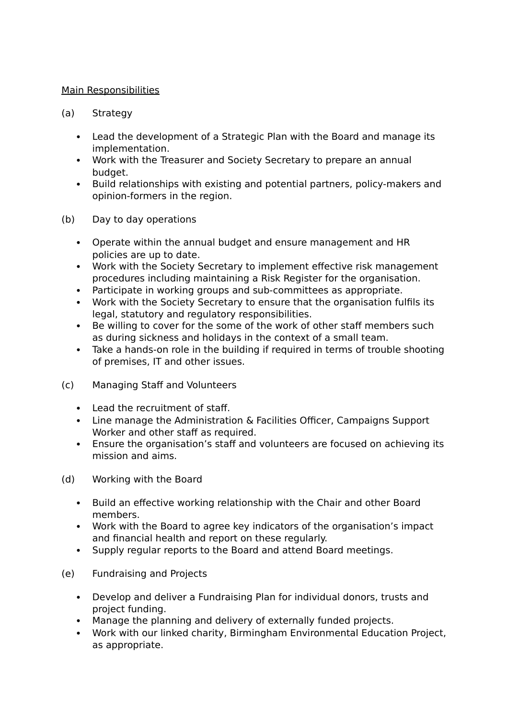### Main Responsibilities

#### (a) Strategy

- Lead the development of a Strategic Plan with the Board and manage its implementation.
- Work with the Treasurer and Society Secretary to prepare an annual budget.
- Build relationships with existing and potential partners, policy-makers and opinion-formers in the region.
- (b) Day to day operations
	- Operate within the annual budget and ensure management and HR policies are up to date.
	- Work with the Society Secretary to implement effective risk management procedures including maintaining a Risk Register for the organisation.
	- Participate in working groups and sub-committees as appropriate.
	- Work with the Society Secretary to ensure that the organisation fulfils its legal, statutory and regulatory responsibilities.
	- Be willing to cover for the some of the work of other staff members such as during sickness and holidays in the context of a small team.
	- Take a hands-on role in the building if required in terms of trouble shooting of premises, IT and other issues.
- (c) Managing Staff and Volunteers
	- Lead the recruitment of staff.
	- Line manage the Administration & Facilities Officer, Campaigns Support Worker and other staff as required.
	- Ensure the organisation's staff and volunteers are focused on achieving its mission and aims.

(d) Working with the Board

- Build an effective working relationship with the Chair and other Board members.
- Work with the Board to agree key indicators of the organisation's impact and financial health and report on these regularly.
- Supply regular reports to the Board and attend Board meetings.
- (e) Fundraising and Projects
	- Develop and deliver a Fundraising Plan for individual donors, trusts and project funding.
	- Manage the planning and delivery of externally funded projects.
	- Work with our linked charity, Birmingham Environmental Education Project, as appropriate.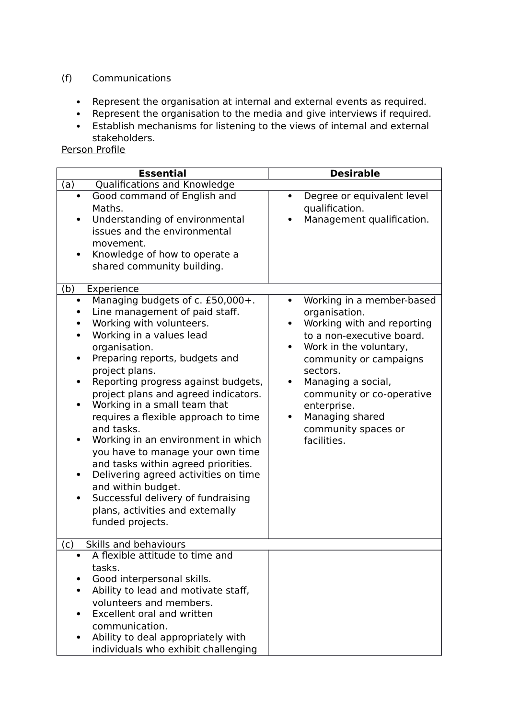### (f) Communications

- Represent the organisation at internal and external events as required.
- Represent the organisation to the media and give interviews if required.
- Establish mechanisms for listening to the views of internal and external stakeholders.

Person Profile

| <b>Essential</b>                                                                                                                                                                                                                                                                                                                                                                                                                                                                                                                                                                                                                                                         | <b>Desirable</b>                                                                                                                                                                                                                                                                                              |
|--------------------------------------------------------------------------------------------------------------------------------------------------------------------------------------------------------------------------------------------------------------------------------------------------------------------------------------------------------------------------------------------------------------------------------------------------------------------------------------------------------------------------------------------------------------------------------------------------------------------------------------------------------------------------|---------------------------------------------------------------------------------------------------------------------------------------------------------------------------------------------------------------------------------------------------------------------------------------------------------------|
| Qualifications and Knowledge<br>(a)                                                                                                                                                                                                                                                                                                                                                                                                                                                                                                                                                                                                                                      |                                                                                                                                                                                                                                                                                                               |
| Good command of English and<br>$\bullet$<br>Maths.<br>Understanding of environmental<br>٠<br>issues and the environmental<br>movement.<br>Knowledge of how to operate a<br>٠<br>shared community building.<br>(b)<br>Experience                                                                                                                                                                                                                                                                                                                                                                                                                                          | Degree or equivalent level<br>qualification.<br>Management qualification.                                                                                                                                                                                                                                     |
| Managing budgets of c. £50,000+.<br>$\bullet$<br>Line management of paid staff.<br>Working with volunteers.<br>Working in a values lead<br>organisation.<br>Preparing reports, budgets and<br>project plans.<br>Reporting progress against budgets,<br>project plans and agreed indicators.<br>Working in a small team that<br>٠<br>requires a flexible approach to time<br>and tasks.<br>Working in an environment in which<br>you have to manage your own time<br>and tasks within agreed priorities.<br>Delivering agreed activities on time<br>٠<br>and within budget.<br>Successful delivery of fundraising<br>plans, activities and externally<br>funded projects. | Working in a member-based<br>$\bullet$<br>organisation.<br>Working with and reporting<br>to a non-executive board.<br>Work in the voluntary,<br>community or campaigns<br>sectors.<br>Managing a social,<br>community or co-operative<br>enterprise.<br>Managing shared<br>community spaces or<br>facilities. |
| Skills and behaviours<br>(c)                                                                                                                                                                                                                                                                                                                                                                                                                                                                                                                                                                                                                                             |                                                                                                                                                                                                                                                                                                               |
| A flexible attitude to time and<br>٠<br>tasks.<br>Good interpersonal skills.<br>Ability to lead and motivate staff,<br>volunteers and members.<br><b>Excellent oral and written</b><br>communication.<br>Ability to deal appropriately with<br>individuals who exhibit challenging                                                                                                                                                                                                                                                                                                                                                                                       |                                                                                                                                                                                                                                                                                                               |